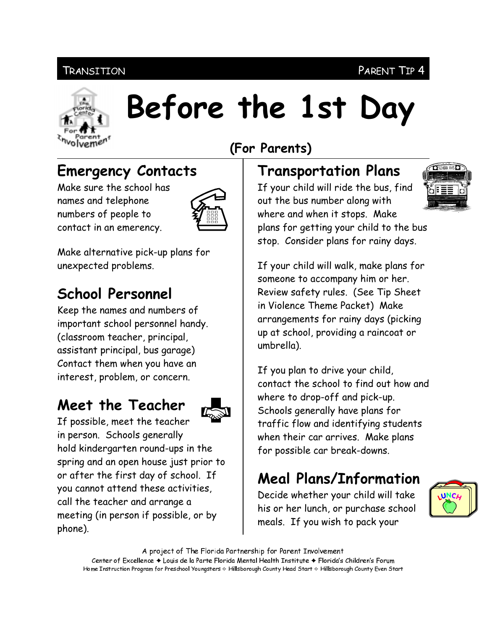#### **TRANSITION**

#### PARENT TIP 4



# Before the 1st Day

## (For Parents)

## **Emergency Contacts**

Make sure the school has names and telephone numbers of people to contact in an emerency.



Make alternative pick-up plans for unexpected problems.

## **School Personnel**

Keep the names and numbers of important school personnel handy. (classroom teacher, principal, assistant principal, bus garage) Contact them when you have an interest, problem, or concern.

## Meet the Teacher



If possible, meet the teacher in person. Schools generally hold kindergarten round-ups in the spring and an open house just prior to or after the first day of school. If you cannot attend these activities, call the teacher and arrange a meeting (in person if possible, or by phone).

#### **Transportation Plans**

If your child will ride the bus, find out the bus number along with where and when it stops. Make plans for getting your child to the bus stop. Consider plans for rainy days.

If your child will walk, make plans for someone to accompany him or her. Review safety rules. (See Tip Sheet in Violence Theme Packet) Make arrangements for rainy days (picking up at school, providing a raincoat or umbrella).

If you plan to drive your child, contact the school to find out how and where to drop-off and pick-up. Schools generally have plans for traffic flow and identifying students when their car arrives. Make plans for possible car break-downs.

# **Meal Plans/Information**

Decide whether your child will take his or her lunch, or purchase school meals. If you wish to pack your



A project of The Florida Partnership for Parent Involvement Center of Excellence ♦ Louis de la Parte Florida Mental Health Institute ♦ Florida's Children's Forum Home Instruction Program for Preschool Youngsters & Hillsborough County Head Start & Hillsborough County Even Start

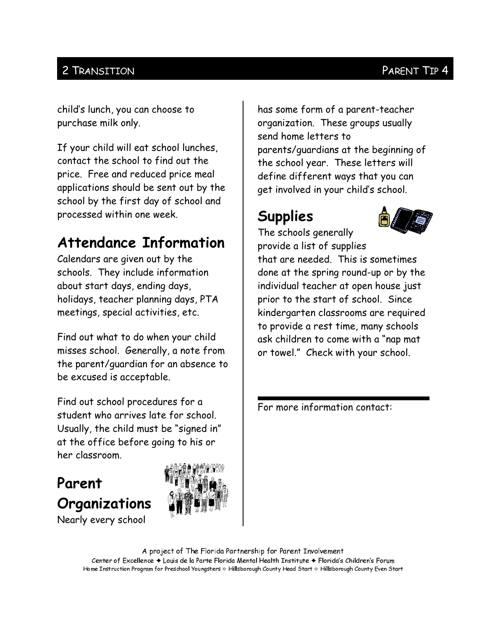#### 2 TRANSITION

child's lunch, you can choose to purchase milk only.

If your child will eat school lunches, contact the school to find out the price. Free and reduced price meal applications should be sent out by the school by the first day of school and processed within one week.

## **Attendance Information**

Calendars are given out by the schools. They include information about start days, ending days, holidays, teacher planning days, PTA meetings, special activities, etc.

Find out what to do when your child misses school. Generally, a note from the parent/quardian for an absence to be excused is acceptable.

Find out school procedures for a student who arrives late for school. Usually, the child must be "signed in" at the office before going to his or her classroom.

## Parent Organizations



Nearly every school

has some form of a parent-teacher organization. These groups usually send home letters to parents/quardians at the beginning of the school year. These letters will define different ways that you can get involved in your child's school.

# **Supplies**



The schools generally provide a list of supplies

that are needed. This is sometimes done at the spring round-up or by the individual teacher at open house just prior to the start of school. Since kindergarten classrooms are required to provide a rest time, many schools ask children to come with a "nap mat or towel." Check with your school.

For more information contact:

A project of The Florida Partnership for Parent Involvement Center of Excellence ♦ Louis de la Parte Florida Mental Health Institute ♦ Florida's Children's Forum Home Instruction Program for Preschool Youngsters & Hillsborough County Head Start & Hillsborough County Even Start